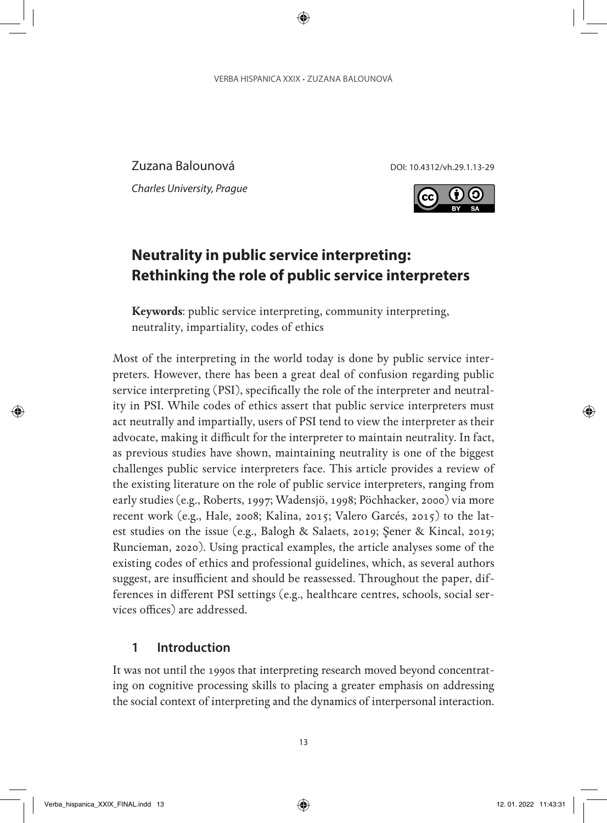Zuzana Balounová DOI: 10.4312/vh.29.1.13-29

*Charles University, Prague*



# **Neutrality in public service interpreting: Rethinking the role of public service interpreters**

**Keywords**: public service interpreting, community interpreting, neutrality, impartiality, codes of ethics

Most of the interpreting in the world today is done by public service interpreters. However, there has been a great deal of confusion regarding public service interpreting (PSI), specifically the role of the interpreter and neutrality in PSI. While codes of ethics assert that public service interpreters must act neutrally and impartially, users of PSI tend to view the interpreter as their advocate, making it difficult for the interpreter to maintain neutrality. In fact, as previous studies have shown, maintaining neutrality is one of the biggest challenges public service interpreters face. This article provides a review of the existing literature on the role of public service interpreters, ranging from early studies (e.g., Roberts, 1997; Wadensjö, 1998; Pöchhacker, 2000) via more recent work (e.g., Hale, 2008; Kalina, 2015; Valero Garcés, 2015) to the latest studies on the issue (e.g., Balogh & Salaets, 2019; Şener & Kincal, 2019; Runcieman, 2020). Using practical examples, the article analyses some of the existing codes of ethics and professional guidelines, which, as several authors suggest, are insufficient and should be reassessed. Throughout the paper, differences in different PSI settings (e.g., healthcare centres, schools, social services offices) are addressed.

#### **1 Introduction**

It was not until the 1990s that interpreting research moved beyond concentrating on cognitive processing skills to placing a greater emphasis on addressing the social context of interpreting and the dynamics of interpersonal interaction.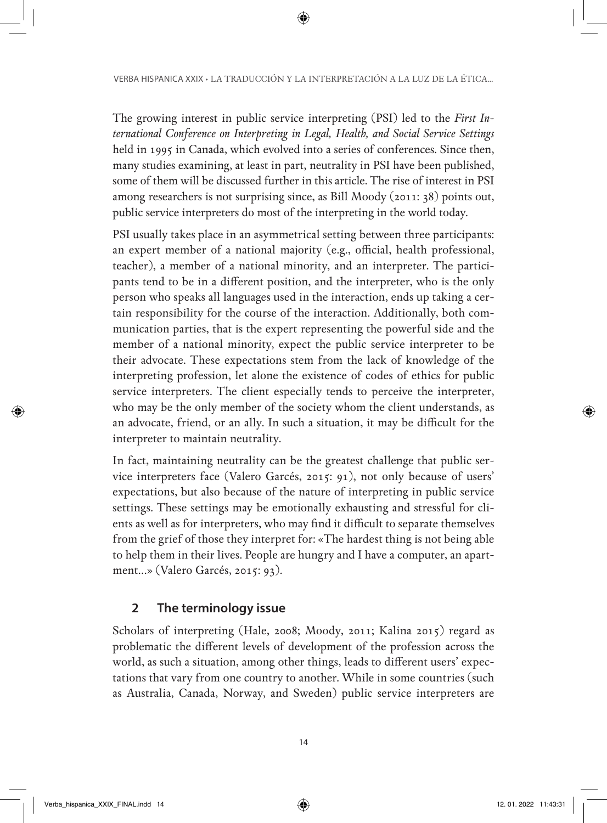The growing interest in public service interpreting (PSI) led to the *First International Conference on Interpreting in Legal, Health, and Social Service Settings* held in 1995 in Canada, which evolved into a series of conferences. Since then, many studies examining, at least in part, neutrality in PSI have been published, some of them will be discussed further in this article. The rise of interest in PSI among researchers is not surprising since, as Bill Moody (2011: 38) points out, public service interpreters do most of the interpreting in the world today.

PSI usually takes place in an asymmetrical setting between three participants: an expert member of a national majority (e.g., official, health professional, teacher), a member of a national minority, and an interpreter. The participants tend to be in a different position, and the interpreter, who is the only person who speaks all languages used in the interaction, ends up taking a certain responsibility for the course of the interaction. Additionally, both communication parties, that is the expert representing the powerful side and the member of a national minority, expect the public service interpreter to be their advocate. These expectations stem from the lack of knowledge of the interpreting profession, let alone the existence of codes of ethics for public service interpreters. The client especially tends to perceive the interpreter, who may be the only member of the society whom the client understands, as an advocate, friend, or an ally. In such a situation, it may be difficult for the interpreter to maintain neutrality.

In fact, maintaining neutrality can be the greatest challenge that public service interpreters face (Valero Garcés, 2015: 91), not only because of users' expectations, but also because of the nature of interpreting in public service settings. These settings may be emotionally exhausting and stressful for clients as well as for interpreters, who may find it difficult to separate themselves from the grief of those they interpret for: «The hardest thing is not being able to help them in their lives. People are hungry and I have a computer, an apartment…» (Valero Garcés, 2015: 93).

# **2 The terminology issue**

Scholars of interpreting (Hale, 2008; Moody, 2011; Kalina 2015) regard as problematic the different levels of development of the profession across the world, as such a situation, among other things, leads to different users' expectations that vary from one country to another. While in some countries (such as Australia, Canada, Norway, and Sweden) public service interpreters are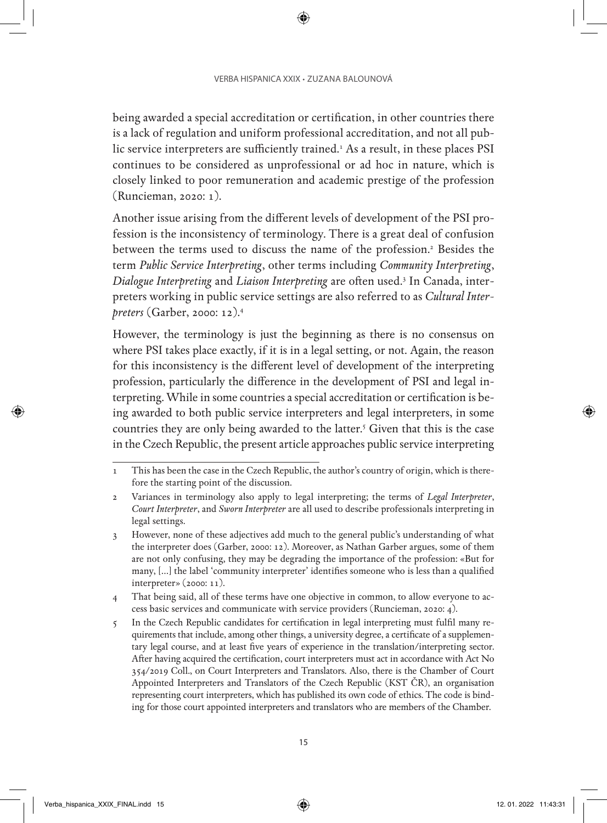being awarded a special accreditation or certification, in other countries there is a lack of regulation and uniform professional accreditation, and not all public service interpreters are sufficiently trained.<sup>1</sup> As a result, in these places PSI continues to be considered as unprofessional or ad hoc in nature, which is closely linked to poor remuneration and academic prestige of the profession (Runcieman, 2020: 1).

Another issue arising from the different levels of development of the PSI profession is the inconsistency of terminology. There is a great deal of confusion between the terms used to discuss the name of the profession.<sup>2</sup> Besides the term *Public Service Interpreting*, other terms including *Community Interpreting*, *Dialogue Interpreting* and *Liaison Interpreting* are often used.3 In Canada, interpreters working in public service settings are also referred to as *Cultural Interpreters* (Garber, 2000: 12).4

However, the terminology is just the beginning as there is no consensus on where PSI takes place exactly, if it is in a legal setting, or not. Again, the reason for this inconsistency is the different level of development of the interpreting profession, particularly the difference in the development of PSI and legal interpreting. While in some countries a special accreditation or certification is being awarded to both public service interpreters and legal interpreters, in some countries they are only being awarded to the latter.<sup>5</sup> Given that this is the case in the Czech Republic, the present article approaches public service interpreting

<sup>1</sup> This has been the case in the Czech Republic, the author's country of origin, which is therefore the starting point of the discussion.

<sup>2</sup> Variances in terminology also apply to legal interpreting; the terms of *Legal Interpreter*, *Court Interpreter*, and *Sworn Interpreter* are all used to describe professionals interpreting in legal settings.

<sup>3</sup> However, none of these adjectives add much to the general public's understanding of what the interpreter does (Garber, 2000: 12). Moreover, as Nathan Garber argues, some of them are not only confusing, they may be degrading the importance of the profession: «But for many, […] the label 'community interpreter' identifies someone who is less than a qualified interpreter» (2000: 11).

<sup>4</sup> That being said, all of these terms have one objective in common, to allow everyone to access basic services and communicate with service providers (Runcieman, 2020: 4).

<sup>5</sup> In the Czech Republic candidates for certification in legal interpreting must fulfil many requirements that include, among other things, a university degree, a certificate of a supplementary legal course, and at least five years of experience in the translation/interpreting sector. After having acquired the certification, court interpreters must act in accordance with Act No 354/2019 Coll., on Court Interpreters and Translators. Also, there is the Chamber of Court Appointed Interpreters and Translators of the Czech Republic (KST ČR), an organisation representing court interpreters, which has published its own code of ethics. The code is binding for those court appointed interpreters and translators who are members of the Chamber.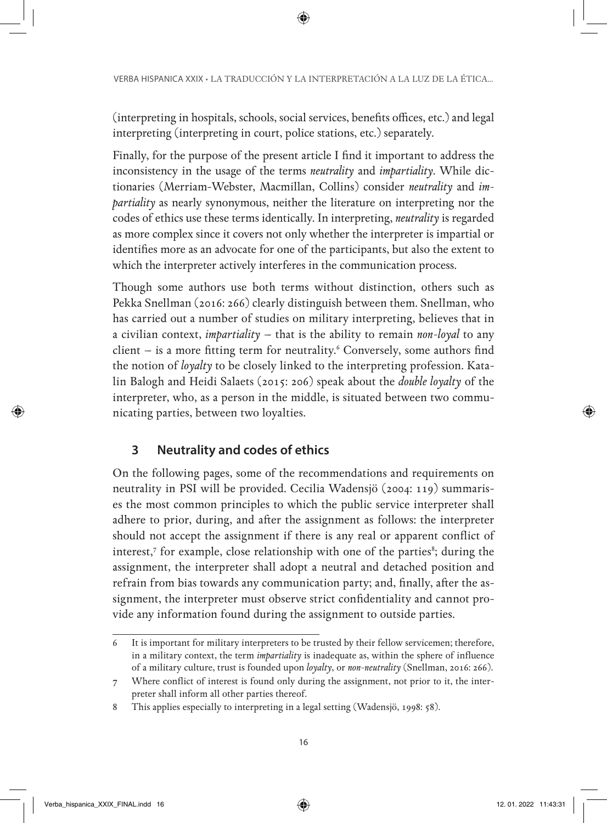(interpreting in hospitals, schools, social services, benefits offices, etc.) and legal interpreting (interpreting in court, police stations, etc.) separately.

Finally, for the purpose of the present article I find it important to address the inconsistency in the usage of the terms *neutrality* and *impartiality*. While dictionaries (Merriam-Webster, Macmillan, Collins) consider *neutrality* and *impartiality* as nearly synonymous, neither the literature on interpreting nor the codes of ethics use these terms identically. In interpreting, *neutrality* is regarded as more complex since it covers not only whether the interpreter is impartial or identifies more as an advocate for one of the participants, but also the extent to which the interpreter actively interferes in the communication process.

Though some authors use both terms without distinction, others such as Pekka Snellman (2016: 266) clearly distinguish between them. Snellman, who has carried out a number of studies on military interpreting, believes that in a civilian context, *impartiality* – that is the ability to remain *non-loyal* to any client – is a more fitting term for neutrality.6 Conversely, some authors find the notion of *loyalty* to be closely linked to the interpreting profession. Katalin Balogh and Heidi Salaets (2015: 206) speak about the *double loyalty* of the interpreter, who, as a person in the middle, is situated between two communicating parties, between two loyalties.

# **3 Neutrality and codes of ethics**

On the following pages, some of the recommendations and requirements on neutrality in PSI will be provided. Cecilia Wadensjö (2004: 119) summarises the most common principles to which the public service interpreter shall adhere to prior, during, and after the assignment as follows: the interpreter should not accept the assignment if there is any real or apparent conflict of interest,7 for example, close relationship with one of the parties<sup>8</sup>; during the assignment, the interpreter shall adopt a neutral and detached position and refrain from bias towards any communication party; and, finally, after the assignment, the interpreter must observe strict confidentiality and cannot provide any information found during the assignment to outside parties.

<sup>6</sup> It is important for military interpreters to be trusted by their fellow servicemen; therefore, in a military context, the term *impartiality* is inadequate as, within the sphere of influence of a military culture, trust is founded upon *loyalty*, or *non-neutrality* (Snellman, 2016: 266).

<sup>7</sup> Where conflict of interest is found only during the assignment, not prior to it, the interpreter shall inform all other parties thereof.

<sup>8</sup> This applies especially to interpreting in a legal setting (Wadensjö, 1998: 58).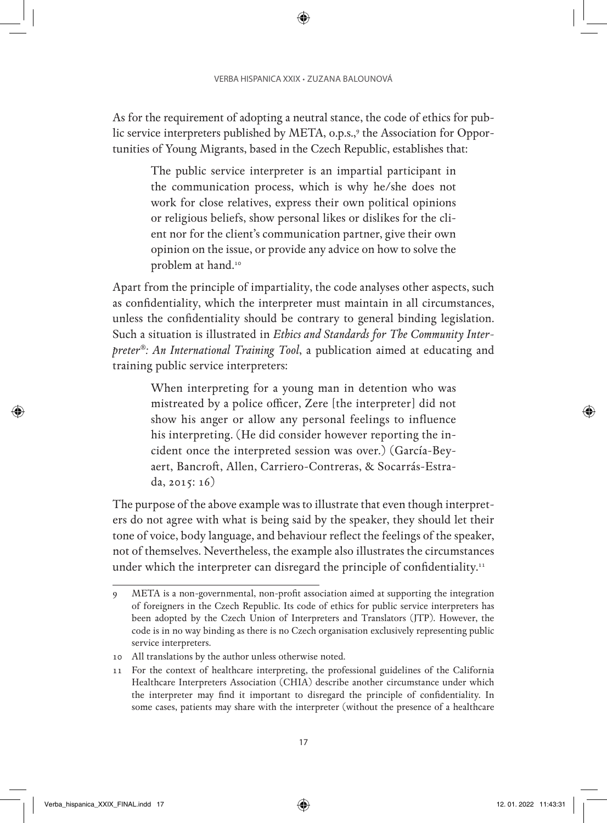As for the requirement of adopting a neutral stance, the code of ethics for public service interpreters published by META, 0.p.s.,<sup>9</sup> the Association for Opportunities of Young Migrants, based in the Czech Republic, establishes that:

The public service interpreter is an impartial participant in the communication process, which is why he/she does not work for close relatives, express their own political opinions or religious beliefs, show personal likes or dislikes for the client nor for the client's communication partner, give their own opinion on the issue, or provide any advice on how to solve the problem at hand.<sup>10</sup>

Apart from the principle of impartiality, the code analyses other aspects, such as confidentiality, which the interpreter must maintain in all circumstances, unless the confidentiality should be contrary to general binding legislation. Such a situation is illustrated in *Ethics and Standards for The Community Interpreter®: An International Training Tool*, a publication aimed at educating and training public service interpreters:

When interpreting for a young man in detention who was mistreated by a police officer, Zere [the interpreter] did not show his anger or allow any personal feelings to influence his interpreting. (He did consider however reporting the incident once the interpreted session was over.) (García-Beyaert, Bancroft, Allen, Carriero-Contreras, & Socarrás-Estrada, 2015: 16)

The purpose of the above example was to illustrate that even though interpreters do not agree with what is being said by the speaker, they should let their tone of voice, body language, and behaviour reflect the feelings of the speaker, not of themselves. Nevertheless, the example also illustrates the circumstances under which the interpreter can disregard the principle of confidentiality.<sup>11</sup>

<sup>9</sup> META is a non-governmental, non-profit association aimed at supporting the integration of foreigners in the Czech Republic. Its code of ethics for public service interpreters has been adopted by the Czech Union of Interpreters and Translators (JTP). However, the code is in no way binding as there is no Czech organisation exclusively representing public service interpreters.

<sup>10</sup> All translations by the author unless otherwise noted.

<sup>11</sup> For the context of healthcare interpreting, the professional guidelines of the California Healthcare Interpreters Association (CHIA) describe another circumstance under which the interpreter may find it important to disregard the principle of confidentiality. In some cases, patients may share with the interpreter (without the presence of a healthcare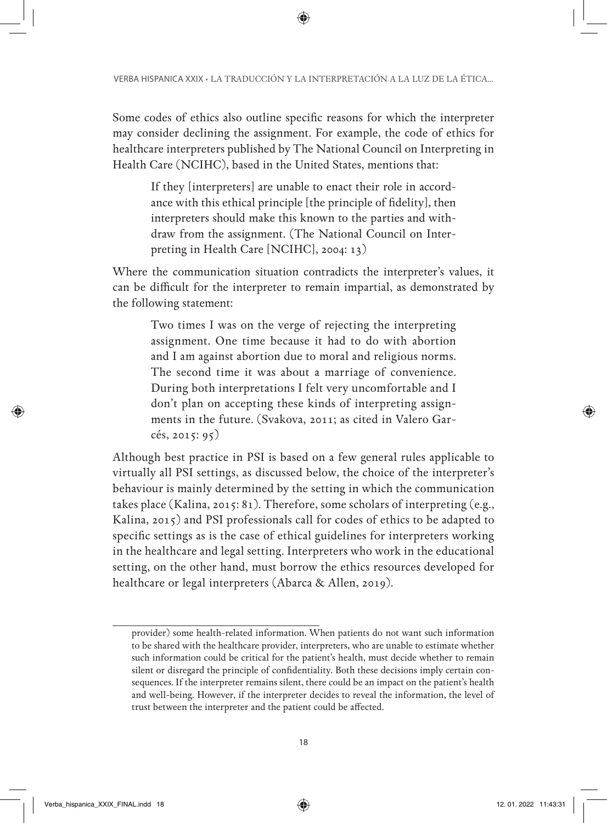Some codes of ethics also outline specific reasons for which the interpreter may consider declining the assignment. For example, the code of ethics for healthcare interpreters published by The National Council on Interpreting in Health Care (NCIHC), based in the United States, mentions that:

If they [interpreters] are unable to enact their role in accordance with this ethical principle [the principle of fidelity], then interpreters should make this known to the parties and withdraw from the assignment. (The National Council on Interpreting in Health Care [NCIHC], 2004: 13)

Where the communication situation contradicts the interpreter's values, it can be difficult for the interpreter to remain impartial, as demonstrated by the following statement:

Two times I was on the verge of rejecting the interpreting assignment. One time because it had to do with abortion and I am against abortion due to moral and religious norms. The second time it was about a marriage of convenience. During both interpretations I felt very uncomfortable and I don't plan on accepting these kinds of interpreting assignments in the future. (Svakova, 2011; as cited in Valero Garcés, 2015: 95)

Although best practice in PSI is based on a few general rules applicable to virtually all PSI settings, as discussed below, the choice of the interpreter's behaviour is mainly determined by the setting in which the communication takes place (Kalina, 2015: 81). Therefore, some scholars of interpreting (e.g., Kalina, 2015) and PSI professionals call for codes of ethics to be adapted to specific settings as is the case of ethical guidelines for interpreters working in the healthcare and legal setting. Interpreters who work in the educational setting, on the other hand, must borrow the ethics resources developed for healthcare or legal interpreters (Abarca & Allen, 2019).

provider) some health-related information. When patients do not want such information to be shared with the healthcare provider, interpreters, who are unable to estimate whether such information could be critical for the patient's health, must decide whether to remain silent or disregard the principle of confidentiality. Both these decisions imply certain consequences. If the interpreter remains silent, there could be an impact on the patient's health and well-being. However, if the interpreter decides to reveal the information, the level of trust between the interpreter and the patient could be affected.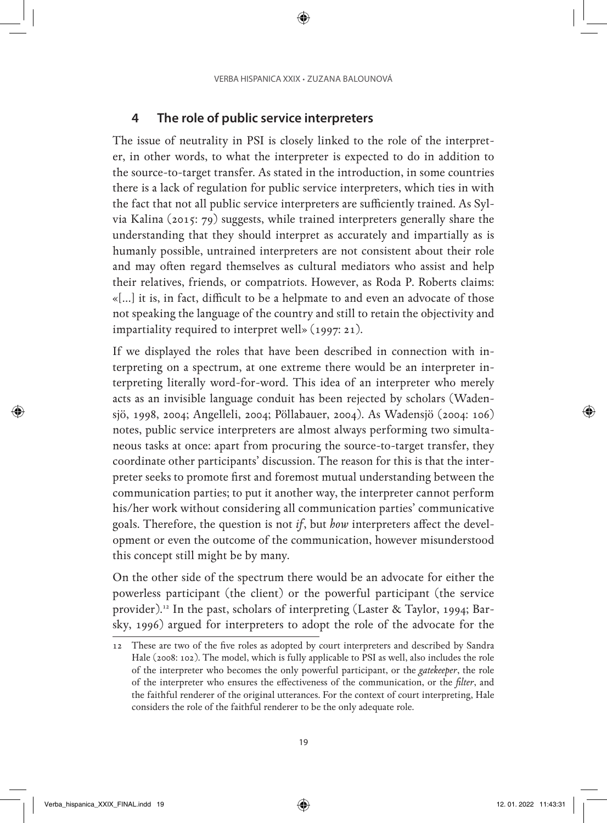### **4 The role of public service interpreters**

The issue of neutrality in PSI is closely linked to the role of the interpreter, in other words, to what the interpreter is expected to do in addition to the source-to-target transfer. As stated in the introduction, in some countries there is a lack of regulation for public service interpreters, which ties in with the fact that not all public service interpreters are sufficiently trained. As Sylvia Kalina (2015: 79) suggests, while trained interpreters generally share the understanding that they should interpret as accurately and impartially as is humanly possible, untrained interpreters are not consistent about their role and may often regard themselves as cultural mediators who assist and help their relatives, friends, or compatriots. However, as Roda P. Roberts claims: «[…] it is, in fact, difficult to be a helpmate to and even an advocate of those not speaking the language of the country and still to retain the objectivity and impartiality required to interpret well» (1997: 21).

If we displayed the roles that have been described in connection with interpreting on a spectrum, at one extreme there would be an interpreter interpreting literally word-for-word. This idea of an interpreter who merely acts as an invisible language conduit has been rejected by scholars (Wadensjö, 1998, 2004; Angelleli, 2004; Pöllabauer, 2004). As Wadensjö (2004: 106) notes, public service interpreters are almost always performing two simultaneous tasks at once: apart from procuring the source-to-target transfer, they coordinate other participants' discussion. The reason for this is that the interpreter seeks to promote first and foremost mutual understanding between the communication parties; to put it another way, the interpreter cannot perform his/her work without considering all communication parties' communicative goals. Therefore, the question is not *if*, but *how* interpreters affect the development or even the outcome of the communication, however misunderstood this concept still might be by many.

On the other side of the spectrum there would be an advocate for either the powerless participant (the client) or the powerful participant (the service provider).<sup>12</sup> In the past, scholars of interpreting (Laster & Taylor, 1994; Barsky, 1996) argued for interpreters to adopt the role of the advocate for the

<sup>12</sup> These are two of the five roles as adopted by court interpreters and described by Sandra Hale (2008: 102). The model, which is fully applicable to PSI as well, also includes the role of the interpreter who becomes the only powerful participant, or the *gatekeeper*, the role of the interpreter who ensures the effectiveness of the communication, or the *filter*, and the faithful renderer of the original utterances. For the context of court interpreting, Hale considers the role of the faithful renderer to be the only adequate role.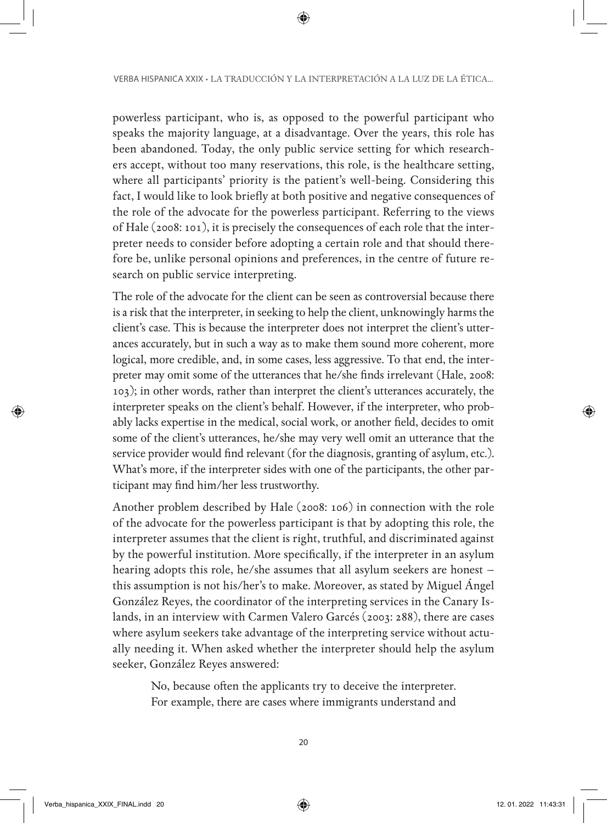powerless participant, who is, as opposed to the powerful participant who speaks the majority language, at a disadvantage. Over the years, this role has been abandoned. Today, the only public service setting for which researchers accept, without too many reservations, this role, is the healthcare setting, where all participants' priority is the patient's well-being. Considering this fact, I would like to look briefly at both positive and negative consequences of the role of the advocate for the powerless participant. Referring to the views of Hale (2008: 101), it is precisely the consequences of each role that the interpreter needs to consider before adopting a certain role and that should therefore be, unlike personal opinions and preferences, in the centre of future research on public service interpreting.

The role of the advocate for the client can be seen as controversial because there is a risk that the interpreter, in seeking to help the client, unknowingly harms the client's case. This is because the interpreter does not interpret the client's utterances accurately, but in such a way as to make them sound more coherent, more logical, more credible, and, in some cases, less aggressive. To that end, the interpreter may omit some of the utterances that he/she finds irrelevant (Hale, 2008: 103); in other words, rather than interpret the client's utterances accurately, the interpreter speaks on the client's behalf. However, if the interpreter, who probably lacks expertise in the medical, social work, or another field, decides to omit some of the client's utterances, he/she may very well omit an utterance that the service provider would find relevant (for the diagnosis, granting of asylum, etc.). What's more, if the interpreter sides with one of the participants, the other participant may find him/her less trustworthy.

Another problem described by Hale (2008: 106) in connection with the role of the advocate for the powerless participant is that by adopting this role, the interpreter assumes that the client is right, truthful, and discriminated against by the powerful institution. More specifically, if the interpreter in an asylum hearing adopts this role, he/she assumes that all asylum seekers are honest – this assumption is not his/her's to make. Moreover, as stated by Miguel Ángel González Reyes, the coordinator of the interpreting services in the Canary Islands, in an interview with Carmen Valero Garcés (2003: 288), there are cases where asylum seekers take advantage of the interpreting service without actually needing it. When asked whether the interpreter should help the asylum seeker, González Reyes answered:

No, because often the applicants try to deceive the interpreter. For example, there are cases where immigrants understand and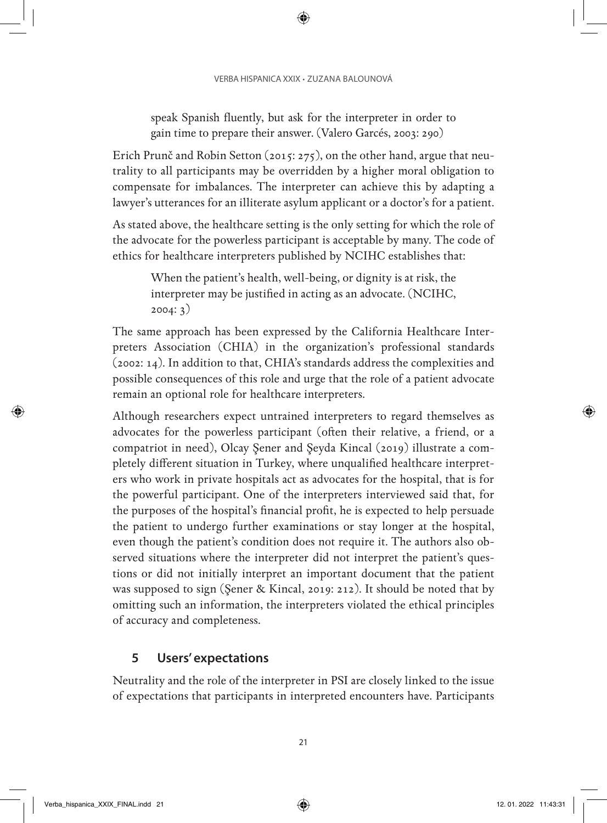speak Spanish fluently, but ask for the interpreter in order to gain time to prepare their answer. (Valero Garcés, 2003: 290)

Erich Prunč and Robin Setton (2015: 275), on the other hand, argue that neutrality to all participants may be overridden by a higher moral obligation to compensate for imbalances. The interpreter can achieve this by adapting a lawyer's utterances for an illiterate asylum applicant or a doctor's for a patient.

As stated above, the healthcare setting is the only setting for which the role of the advocate for the powerless participant is acceptable by many. The code of ethics for healthcare interpreters published by NCIHC establishes that:

When the patient's health, well-being, or dignity is at risk, the interpreter may be justified in acting as an advocate. (NCIHC, 2004: 3)

The same approach has been expressed by the California Healthcare Interpreters Association (CHIA) in the organization's professional standards (2002: 14). In addition to that, CHIA's standards address the complexities and possible consequences of this role and urge that the role of a patient advocate remain an optional role for healthcare interpreters.

Although researchers expect untrained interpreters to regard themselves as advocates for the powerless participant (often their relative, a friend, or a compatriot in need), Olcay Şener and Şeyda Kincal (2019) illustrate a completely different situation in Turkey, where unqualified healthcare interpreters who work in private hospitals act as advocates for the hospital, that is for the powerful participant. One of the interpreters interviewed said that, for the purposes of the hospital's financial profit, he is expected to help persuade the patient to undergo further examinations or stay longer at the hospital, even though the patient's condition does not require it. The authors also observed situations where the interpreter did not interpret the patient's questions or did not initially interpret an important document that the patient was supposed to sign (Şener & Kincal, 2019: 212). It should be noted that by omitting such an information, the interpreters violated the ethical principles of accuracy and completeness.

### **5 Users' expectations**

Neutrality and the role of the interpreter in PSI are closely linked to the issue of expectations that participants in interpreted encounters have. Participants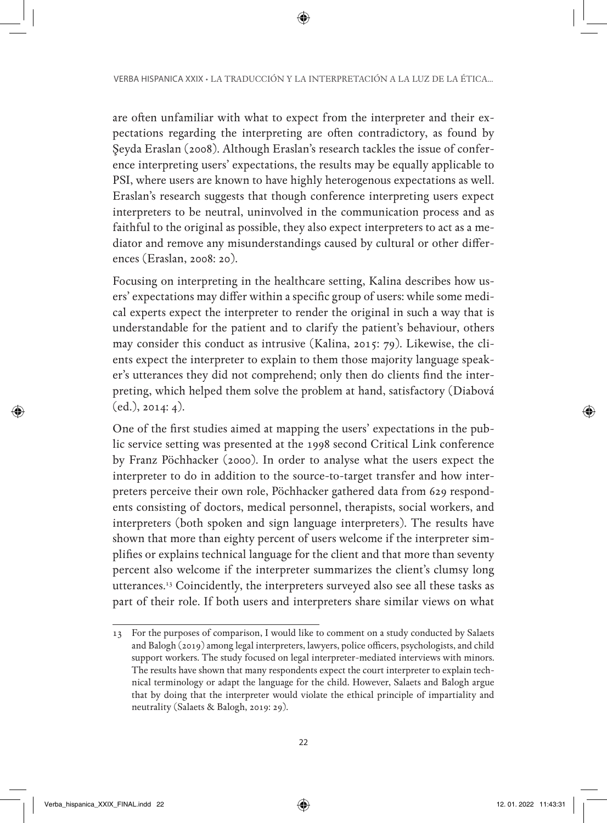are often unfamiliar with what to expect from the interpreter and their expectations regarding the interpreting are often contradictory, as found by Şeyda Eraslan (2008). Although Eraslan's research tackles the issue of conference interpreting users' expectations, the results may be equally applicable to PSI, where users are known to have highly heterogenous expectations as well. Eraslan's research suggests that though conference interpreting users expect interpreters to be neutral, uninvolved in the communication process and as faithful to the original as possible, they also expect interpreters to act as a mediator and remove any misunderstandings caused by cultural or other differences (Eraslan, 2008: 20).

Focusing on interpreting in the healthcare setting, Kalina describes how users' expectations may differ within a specific group of users: while some medical experts expect the interpreter to render the original in such a way that is understandable for the patient and to clarify the patient's behaviour, others may consider this conduct as intrusive (Kalina, 2015: 79). Likewise, the clients expect the interpreter to explain to them those majority language speaker's utterances they did not comprehend; only then do clients find the interpreting, which helped them solve the problem at hand, satisfactory (Diabová (ed.), 2014: 4).

One of the first studies aimed at mapping the users' expectations in the public service setting was presented at the 1998 second Critical Link conference by Franz Pöchhacker (2000). In order to analyse what the users expect the interpreter to do in addition to the source-to-target transfer and how interpreters perceive their own role, Pöchhacker gathered data from 629 respondents consisting of doctors, medical personnel, therapists, social workers, and interpreters (both spoken and sign language interpreters). The results have shown that more than eighty percent of users welcome if the interpreter simplifies or explains technical language for the client and that more than seventy percent also welcome if the interpreter summarizes the client's clumsy long utterances.13 Coincidently, the interpreters surveyed also see all these tasks as part of their role. If both users and interpreters share similar views on what

<sup>13</sup> For the purposes of comparison, I would like to comment on a study conducted by Salaets and Balogh (2019) among legal interpreters, lawyers, police officers, psychologists, and child support workers. The study focused on legal interpreter-mediated interviews with minors. The results have shown that many respondents expect the court interpreter to explain technical terminology or adapt the language for the child. However, Salaets and Balogh argue that by doing that the interpreter would violate the ethical principle of impartiality and neutrality (Salaets & Balogh, 2019: 29).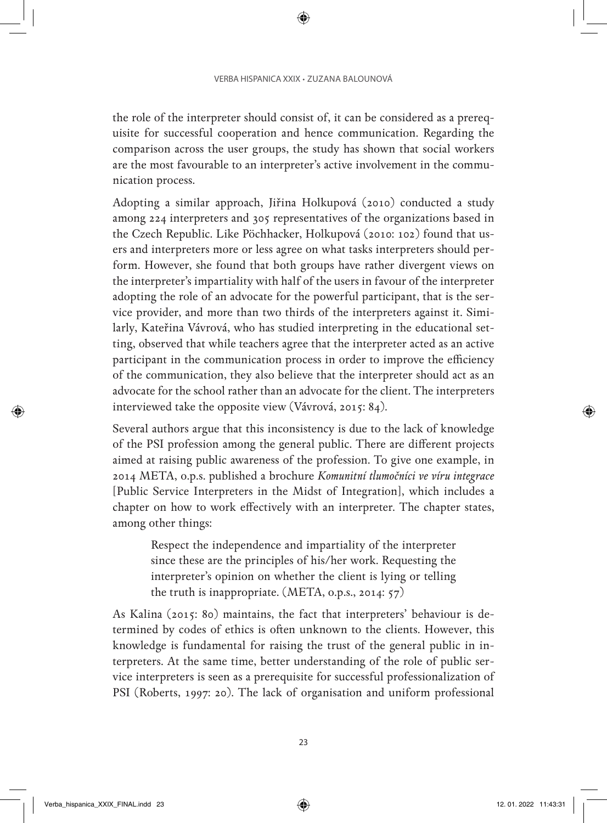the role of the interpreter should consist of, it can be considered as a prerequisite for successful cooperation and hence communication. Regarding the comparison across the user groups, the study has shown that social workers are the most favourable to an interpreter's active involvement in the communication process.

Adopting a similar approach, Jiřina Holkupová (2010) conducted a study among 224 interpreters and 305 representatives of the organizations based in the Czech Republic. Like Pöchhacker, Holkupová (2010: 102) found that users and interpreters more or less agree on what tasks interpreters should perform. However, she found that both groups have rather divergent views on the interpreter's impartiality with half of the users in favour of the interpreter adopting the role of an advocate for the powerful participant, that is the service provider, and more than two thirds of the interpreters against it. Similarly, Kateřina Vávrová, who has studied interpreting in the educational setting, observed that while teachers agree that the interpreter acted as an active participant in the communication process in order to improve the efficiency of the communication, they also believe that the interpreter should act as an advocate for the school rather than an advocate for the client. The interpreters interviewed take the opposite view (Vávrová, 2015: 84).

Several authors argue that this inconsistency is due to the lack of knowledge of the PSI profession among the general public. There are different projects aimed at raising public awareness of the profession. To give one example, in 2014 META, o.p.s. published a brochure *Komunitní tlumočníci ve víru integrace* [Public Service Interpreters in the Midst of Integration], which includes a chapter on how to work effectively with an interpreter. The chapter states, among other things:

Respect the independence and impartiality of the interpreter since these are the principles of his/her work. Requesting the interpreter's opinion on whether the client is lying or telling the truth is inappropriate. (META, o.p.s., 2014: 57)

As Kalina (2015: 80) maintains, the fact that interpreters' behaviour is determined by codes of ethics is often unknown to the clients. However, this knowledge is fundamental for raising the trust of the general public in interpreters. At the same time, better understanding of the role of public service interpreters is seen as a prerequisite for successful professionalization of PSI (Roberts, 1997: 20). The lack of organisation and uniform professional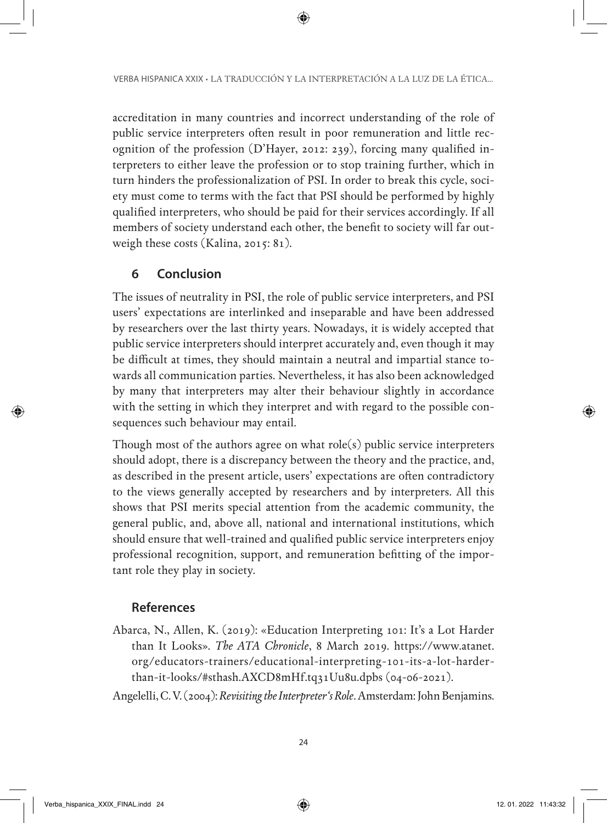accreditation in many countries and incorrect understanding of the role of public service interpreters often result in poor remuneration and little recognition of the profession (D'Hayer, 2012: 239), forcing many qualified interpreters to either leave the profession or to stop training further, which in turn hinders the professionalization of PSI. In order to break this cycle, society must come to terms with the fact that PSI should be performed by highly qualified interpreters, who should be paid for their services accordingly. If all members of society understand each other, the benefit to society will far outweigh these costs (Kalina, 2015: 81).

# **6 Conclusion**

The issues of neutrality in PSI, the role of public service interpreters, and PSI users' expectations are interlinked and inseparable and have been addressed by researchers over the last thirty years. Nowadays, it is widely accepted that public service interpreters should interpret accurately and, even though it may be difficult at times, they should maintain a neutral and impartial stance towards all communication parties. Nevertheless, it has also been acknowledged by many that interpreters may alter their behaviour slightly in accordance with the setting in which they interpret and with regard to the possible consequences such behaviour may entail.

Though most of the authors agree on what role(s) public service interpreters should adopt, there is a discrepancy between the theory and the practice, and, as described in the present article, users' expectations are often contradictory to the views generally accepted by researchers and by interpreters. All this shows that PSI merits special attention from the academic community, the general public, and, above all, national and international institutions, which should ensure that well-trained and qualified public service interpreters enjoy professional recognition, support, and remuneration befitting of the important role they play in society.

# **References**

Abarca, N., Allen, K. (2019): «Education Interpreting 101: It's a Lot Harder than It Looks». *The ATA Chronicle*, 8 March 2019. https://www.atanet. org/educators-trainers/educational-interpreting-101-its-a-lot-harderthan-it-looks/#sthash.AXCD8mHf.tq31Uu8u.dpbs (04-06-2021).

Angelelli, C. V. (2004): *Revisiting the Interpreter's Role*. Amsterdam: John Benjamins.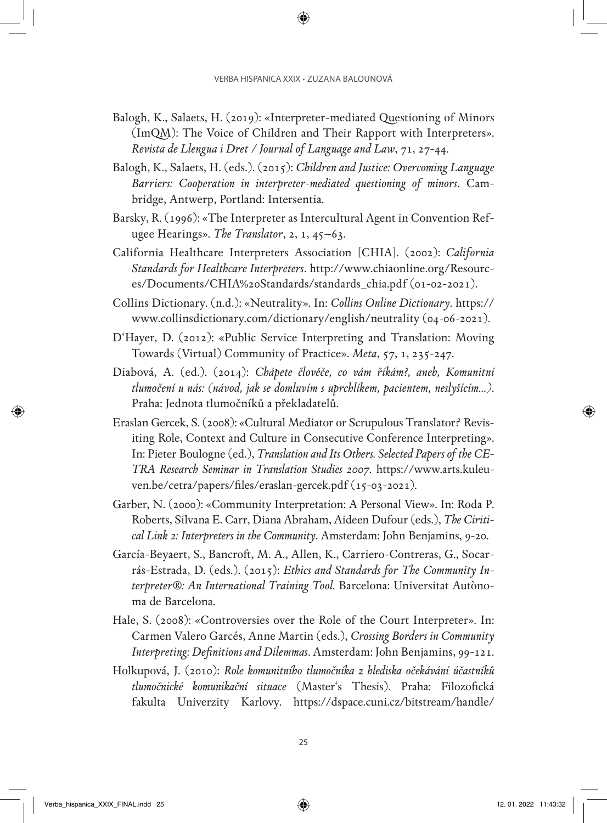- Balogh, K., Salaets, H. (2019): «Interpreter-mediated Questioning of Minors (ImQM): The Voice of Children and Their Rapport with Interpreters». *Revista de Llengua i Dret / Journal of Language and Law*, 71, 27-44.
- Balogh, K., Salaets, H. (eds.). (2015): *Children and Justice: Overcoming Language Barriers: Cooperation in interpreter-mediated questioning of minors*. Cambridge, Antwerp, Portland: Intersentia.
- Barsky, R. (1996): «The Interpreter as Intercultural Agent in Convention Refugee Hearings». *The Translator*, 2, 1, 45–63.
- California Healthcare Interpreters Association [CHIA]. (2002): *California Standards for Healthcare Interpreters*. [http://www.chiaonline.org/Resourc](http://www.chiaonline.org/Resources/Documents/CHIA%20Standards/standards_chia.pdf)[es/Documents/CHIA%20Standards/standards\\_chia.pdf](http://www.chiaonline.org/Resources/Documents/CHIA%20Standards/standards_chia.pdf) (01-02-2021).
- Collins Dictionary. (n.d.): «Neutrality». In: *Collins Online Dictionary*. [https://](https://www.collinsdictionary.com/dictionary/english/neutrality) [www.collinsdictionary.com/dictionary/english/neutrality](https://www.collinsdictionary.com/dictionary/english/neutrality) (04-06-2021).
- D'Hayer, D. (2012): «Public Service Interpreting and Translation: Moving Towards (Virtual) Community of Practice». *Meta*, 57, 1, 235-247.
- Diabová, A. (ed.). (2014): *Chápete člověče, co vám říkám?, aneb, Komunitní tlumočení u nás: (návod, jak se domluvím s uprchlíkem, pacientem, neslyšícím…)*. Praha: Jednota tlumočníků a překladatelů.
- Eraslan Gercek, S. (2008): «Cultural Mediator or Scrupulous Translator? Revisiting Role, Context and Culture in Consecutive Conference Interpreting». In: Pieter Boulogne (ed.), *Translation and Its Others. Selected Papers of the CE-TRA Research Seminar in Translation Studies 2007*. [https://www.arts.kuleu](https://www.arts.kuleuven.be/cetra/papers/files/eraslan-gercek.pdf)[ven.be/cetra/papers/files/eraslan-gercek.pdf](https://www.arts.kuleuven.be/cetra/papers/files/eraslan-gercek.pdf) (15-03-2021).
- Garber, N. (2000): «Community Interpretation: A Personal View». In: Roda P. Roberts, Silvana E. Carr, Diana Abraham, Aideen Dufour (eds.), *The Ciritical Link 2: Interpreters in the Community*. Amsterdam: John Benjamins, 9-20.
- García-Beyaert, S., Bancroft, M. A., Allen, K., Carriero-Contreras, G., Socarrás-Estrada, D. (eds.). (2015): *Ethics and Standards for The Community Interpreter®: An International Training Tool.* Barcelona: Universitat Autònoma de Barcelona.
- Hale, S. (2008): «Controversies over the Role of the Court Interpreter». In: Carmen Valero Garcés, Anne Martin (eds.), *Crossing Borders in Community Interpreting: Definitions and Dilemmas*. Amsterdam: John Benjamins, 99-121.
- Holkupová, J. (2010): *Role komunitního tlumočníka z hlediska očekávání účastníků tlumočnické komunikační situace* (Master's Thesis). Praha: Filozofická fakulta Univerzity Karlovy. [https://dspace.cuni.cz/bitstream/handle/](https://dspace.cuni.cz/bitstream/handle/20.500.11956/26280/DPTX_2009_1_11210_ASZK10001_128421_0_82469.pdf?sequence=1&isAllowed=y)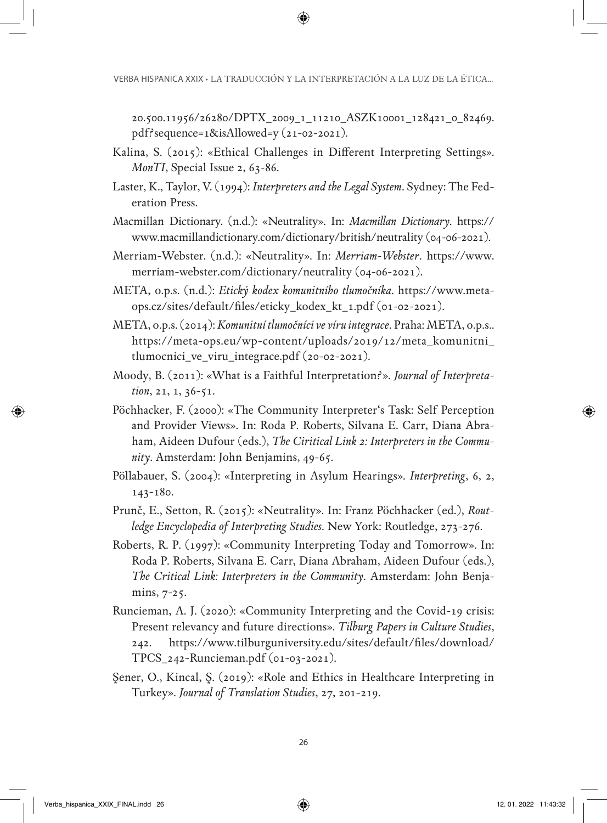[20.500.11956/26280/DPTX\\_2009\\_1\\_11210\\_ASZK10001\\_128421\\_0\\_82469.](https://dspace.cuni.cz/bitstream/handle/20.500.11956/26280/DPTX_2009_1_11210_ASZK10001_128421_0_82469.pdf?sequence=1&isAllowed=y) [pdf?sequence=1&isAllowed=y](https://dspace.cuni.cz/bitstream/handle/20.500.11956/26280/DPTX_2009_1_11210_ASZK10001_128421_0_82469.pdf?sequence=1&isAllowed=y) (21-02-2021).

- Kalina, S. (2015): «Ethical Challenges in Different Interpreting Settings». *MonTI*, Special Issue 2, 63-86.
- Laster, K., Taylor, V. (1994): *Interpreters and the Legal System*. Sydney: The Federation Press.
- Macmillan Dictionary. (n.d.): «Neutrality». In: *Macmillan Dictionary*. [https://](https://www.macmillandictionary.com/dictionary/british/neutrality) [www.macmillandictionary.com/dictionary/british/neutrality](https://www.macmillandictionary.com/dictionary/british/neutrality) (04-06-2021).
- Merriam-Webster. (n.d.): «Neutrality». In: *Merriam-Webster*. [https://www.](https://www.merriam-webster.com/dictionary/neutrality) [merriam-webster.com/dictionary/neutrality](https://www.merriam-webster.com/dictionary/neutrality) (04-06-2021).
- META, o.p.s. (n.d.): *Etický kodex komunitního tlumočníka*. [https://www.meta](https://www.meta-ops.cz/sites/default/files/eticky_kodex_kt_1.pdf)[ops.cz/sites/default/files/eticky\\_kodex\\_kt\\_1.pdf](https://www.meta-ops.cz/sites/default/files/eticky_kodex_kt_1.pdf) (01-02-2021).
- META, o.p.s. (2014): *Komunitní tlumočníci ve víru integrace*. Praha: META, o.p.s.. [https://meta-ops.eu/wp-content/uploads/2019/12/meta\\_komunitni\\_](https://meta-ops.eu/wp-content/uploads/2019/12/meta_komunitni_tlumocnici_ve_viru_integrace.pdf) [tlumocnici\\_ve\\_viru\\_integrace.pdf](https://meta-ops.eu/wp-content/uploads/2019/12/meta_komunitni_tlumocnici_ve_viru_integrace.pdf) (20-02-2021).
- Moody, B. (2011): «What is a Faithful Interpretation?». *Journal of Interpretation*, 21, 1, 36-51.
- Pöchhacker, F. (2000): «The Community Interpreter's Task: Self Perception and Provider Views». In: Roda P. Roberts, Silvana E. Carr, Diana Abraham, Aideen Dufour (eds.), *The Ciritical Link 2: Interpreters in the Community*. Amsterdam: John Benjamins, 49-65.
- Pöllabauer, S. (2004): «Interpreting in Asylum Hearings». *Interpreting*, 6, 2, 143-180.
- Prunč, E., Setton, R. (2015): «Neutrality». In: Franz Pöchhacker (ed.), *Routledge Encyclopedia of Interpreting Studies*. New York: Routledge, 273-276.
- Roberts, R. P. (1997): «Community Interpreting Today and Tomorrow». In: Roda P. Roberts, Silvana E. Carr, Diana Abraham, Aideen Dufour (eds.), *The Critical Link: Interpreters in the Community*. Amsterdam: John Benjamins, 7-25.
- Runcieman, A. J. (2020): «Community Interpreting and the Covid-19 crisis: Present relevancy and future directions». *Tilburg Papers in Culture Studies*, 242. [https://www.tilburguniversity.edu/sites/default/files/download/](https://www.tilburguniversity.edu/sites/default/files/download/TPCS_242-Runcieman.pdf) [TPCS\\_242-Runcieman.pdf](https://www.tilburguniversity.edu/sites/default/files/download/TPCS_242-Runcieman.pdf) (01-03-2021).
- Şener, O., Kincal, Ş. (2019): «Role and Ethics in Healthcare Interpreting in Turkey». *Journal of Translation Studies*, 27, 201-219.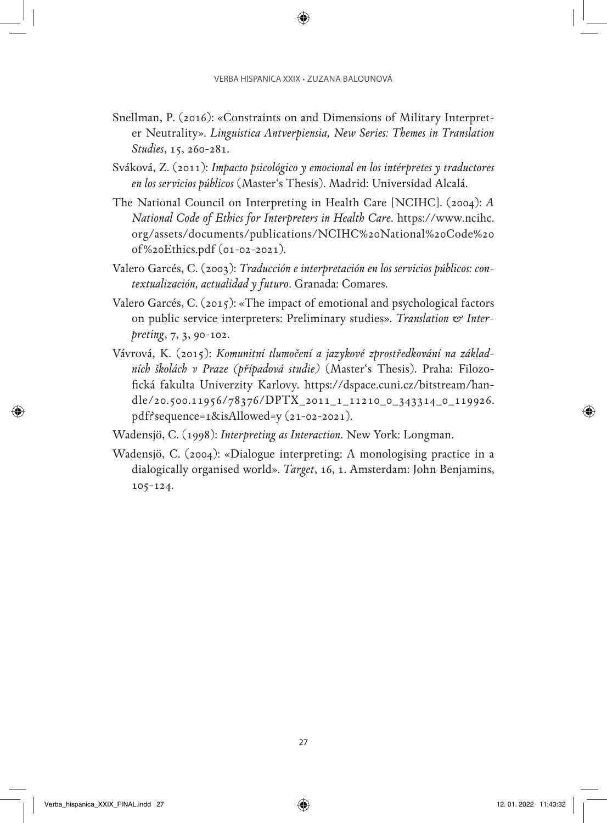- Snellman, P. (2016): «Constraints on and Dimensions of Military Interpreter Neutrality». *Linguistica Antverpiensia, New Series: Themes in Translation Studies*, 15, 260-281.
- Sváková, Z. (2011): *Impacto psicológico y emocional en los intérpretes y traductores en los servicios públicos* (Master's Thesis). Madrid: Universidad Alcalá.
- The National Council on Interpreting in Health Care [NCIHC]. (2004): *A National Code of Ethics for Interpreters in Health Care*. [https://www.ncihc.](https://www.ncihc.org/assets/documents/publications/NCIHC%20National%20Code%20of%20Ethics.pdf) [org/assets/documents/publications/NCIHC%20National%20Code%20](https://www.ncihc.org/assets/documents/publications/NCIHC%20National%20Code%20of%20Ethics.pdf) [of%20Ethics.pdf](https://www.ncihc.org/assets/documents/publications/NCIHC%20National%20Code%20of%20Ethics.pdf) (01-02-2021).
- Valero Garcés, C. (2003): *Traducción e interpretación en los servicios públicos: contextualización, actualidad y futuro*. Granada: Comares.
- Valero Garcés, C. (2015): «The impact of emotional and psychological factors on public service interpreters: Preliminary studies». *Translation & Interpreting*, 7, 3, 90-102.
- Vávrová, K. (2015): *Komunitní tlumočení a jazykové zprostředkování na základních školách v Praze (případová studie)* (Master's Thesis). Praha: Filozofická fakulta Univerzity Karlovy. [https://dspace.cuni.cz/bitstream/han](https://dspace.cuni.cz/bitstream/handle/20.500.11956/78376/DPTX_2011_1_11210_0_343314_0_119926.pdf?sequence=1&isAllowed=y)[dle/20.500.11956/78376/DPTX\\_2011\\_1\\_11210\\_0\\_343314\\_0\\_119926.](https://dspace.cuni.cz/bitstream/handle/20.500.11956/78376/DPTX_2011_1_11210_0_343314_0_119926.pdf?sequence=1&isAllowed=y) [pdf?sequence=1&isAllowed=y](https://dspace.cuni.cz/bitstream/handle/20.500.11956/78376/DPTX_2011_1_11210_0_343314_0_119926.pdf?sequence=1&isAllowed=y) (21-02-2021).
- Wadensjö, C. (1998): *Interpreting as Interaction*. New York: Longman.
- Wadensjö, C. (2004): «Dialogue interpreting: A monologising practice in a dialogically organised world». *Target*, 16, 1. Amsterdam: John Benjamins, 105-124.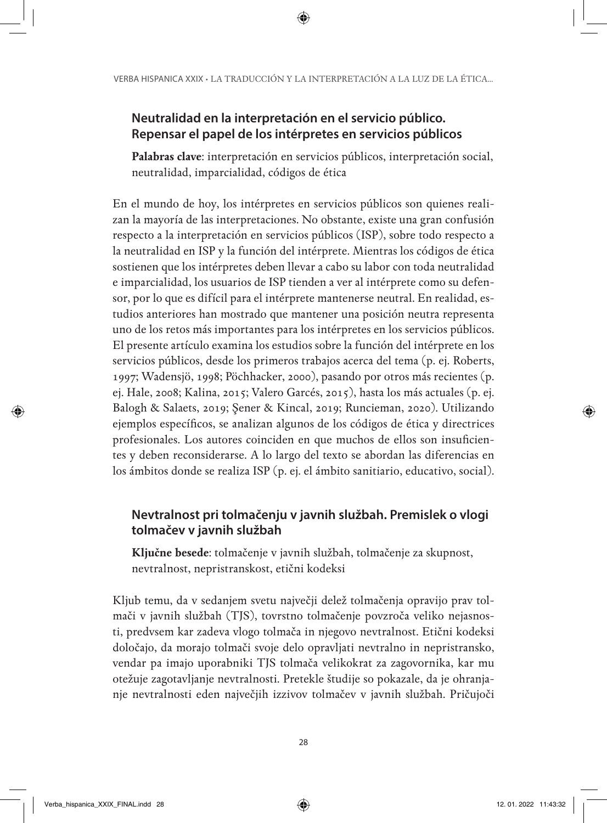#### **Neutralidad en la interpretación en el servicio público. Repensar el papel de los intérpretes en servicios públicos**

**Palabras clave**: interpretación en servicios públicos, interpretación social, neutralidad, imparcialidad, códigos de ética

En el mundo de hoy, los intérpretes en servicios públicos son quienes realizan la mayoría de las interpretaciones. No obstante, existe una gran confusión respecto a la interpretación en servicios públicos (ISP), sobre todo respecto a la neutralidad en ISP y la función del intérprete. Mientras los códigos de ética sostienen que los intérpretes deben llevar a cabo su labor con toda neutralidad e imparcialidad, los usuarios de ISP tienden a ver al intérprete como su defensor, por lo que es difícil para el intérprete mantenerse neutral. En realidad, estudios anteriores han mostrado que mantener una posición neutra representa uno de los retos más importantes para los intérpretes en los servicios públicos. El presente artículo examina los estudios sobre la función del intérprete en los servicios públicos, desde los primeros trabajos acerca del tema (p. ej. Roberts, 1997; Wadensjö, 1998; Pöchhacker, 2000), pasando por otros más recientes (p. ej. Hale, 2008; Kalina, 2015; Valero Garcés, 2015), hasta los más actuales (p. ej. Balogh & Salaets, 2019; Şener & Kincal, 2019; Runcieman, 2020). Utilizando ejemplos específicos, se analizan algunos de los códigos de ética y directrices profesionales. Los autores coinciden en que muchos de ellos son insuficientes y deben reconsiderarse. A lo largo del texto se abordan las diferencias en los ámbitos donde se realiza ISP (p. ej. el ámbito sanitiario, educativo, social).

### **Nevtralnost pri tolmačenju v javnih službah. Premislek o vlogi tolmačev v javnih službah**

**Ključne besede**: tolmačenje v javnih službah, tolmačenje za skupnost, nevtralnost, nepristranskost, etični kodeksi

Kljub temu, da v sedanjem svetu največji delež tolmačenja opravijo prav tolmači v javnih službah (TJS), tovrstno tolmačenje povzroča veliko nejasnosti, predvsem kar zadeva vlogo tolmača in njegovo nevtralnost. Etični kodeksi določajo, da morajo tolmači svoje delo opravljati nevtralno in nepristransko, vendar pa imajo uporabniki TJS tolmača velikokrat za zagovornika, kar mu otežuje zagotavljanje nevtralnosti. Pretekle študije so pokazale, da je ohranjanje nevtralnosti eden največjih izzivov tolmačev v javnih službah. Pričujoči